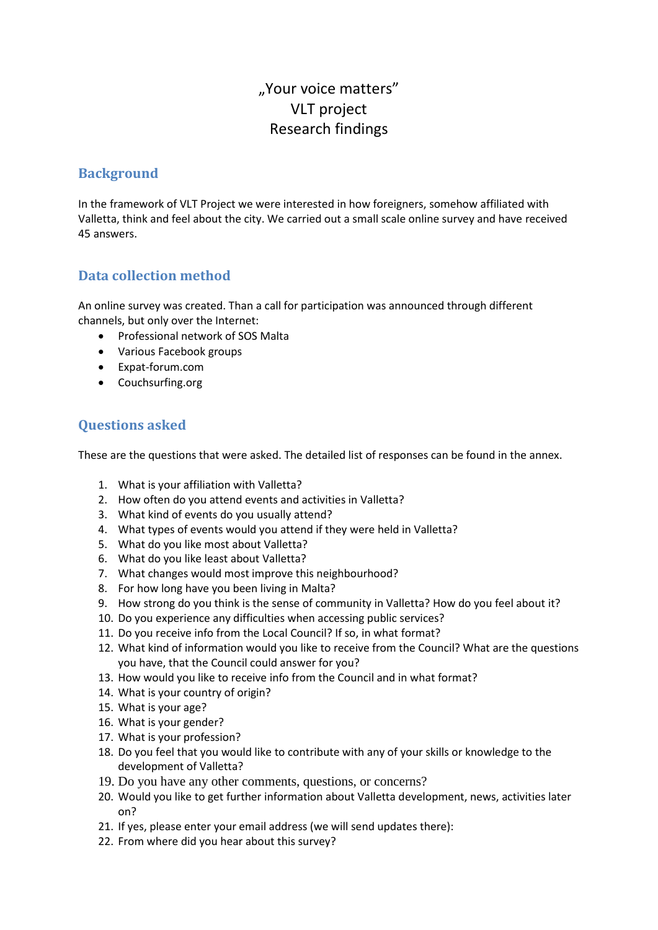# "Your voice matters" VLT project Research findings

#### **Background**

In the framework of VLT Project we were interested in how foreigners, somehow affiliated with Valletta, think and feel about the city. We carried out a small scale online survey and have received 45 answers.

### **Data collection method**

An online survey was created. Than a call for participation was announced through different channels, but only over the Internet:

- Professional network of SOS Malta
- Various Facebook groups
- Expat-forum.com
- Couchsurfing.org

### **Questions asked**

These are the questions that were asked. The detailed list of responses can be found in the annex.

- 1. What is your affiliation with Valletta?
- 2. How often do you attend events and activities in Valletta?
- 3. What kind of events do you usually attend?
- 4. What types of events would you attend if they were held in Valletta?
- 5. What do you like most about Valletta?
- 6. What do you like least about Valletta?
- 7. What changes would most improve this neighbourhood?
- 8. For how long have you been living in Malta?
- 9. How strong do you think is the sense of community in Valletta? How do you feel about it?
- 10. Do you experience any difficulties when accessing public services?
- 11. Do you receive info from the Local Council? If so, in what format?
- 12. What kind of information would you like to receive from the Council? What are the questions you have, that the Council could answer for you?
- 13. How would you like to receive info from the Council and in what format?
- 14. What is your country of origin?
- 15. What is your age?
- 16. What is your gender?
- 17. What is your profession?
- 18. Do you feel that you would like to contribute with any of your skills or knowledge to the development of Valletta?
- 19. Do you have any other comments, questions, or concerns?
- 20. Would you like to get further information about Valletta development, news, activities later on?
- 21. If yes, please enter your email address (we will send updates there):
- 22. From where did you hear about this survey?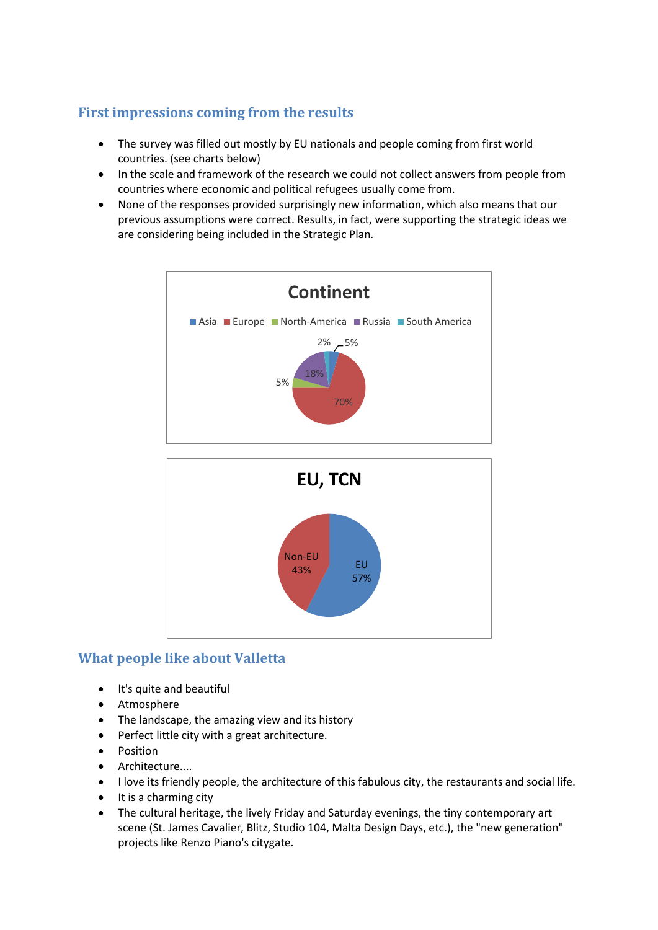# **First impressions coming from the results**

- The survey was filled out mostly by EU nationals and people coming from first world countries. (see charts below)
- In the scale and framework of the research we could not collect answers from people from countries where economic and political refugees usually come from.
- None of the responses provided surprisingly new information, which also means that our previous assumptions were correct. Results, in fact, were supporting the strategic ideas we are considering being included in the Strategic Plan.





### **What people like about Valletta**

- It's quite and beautiful
- Atmosphere
- The landscape, the amazing view and its history
- Perfect little city with a great architecture.
- Position
- Architecture....
- I love its friendly people, the architecture of this fabulous city, the restaurants and social life.
- It is a charming city
- The cultural heritage, the lively Friday and Saturday evenings, the tiny contemporary art scene (St. James Cavalier, Blitz, Studio 104, Malta Design Days, etc.), the "new generation" projects like Renzo Piano's citygate.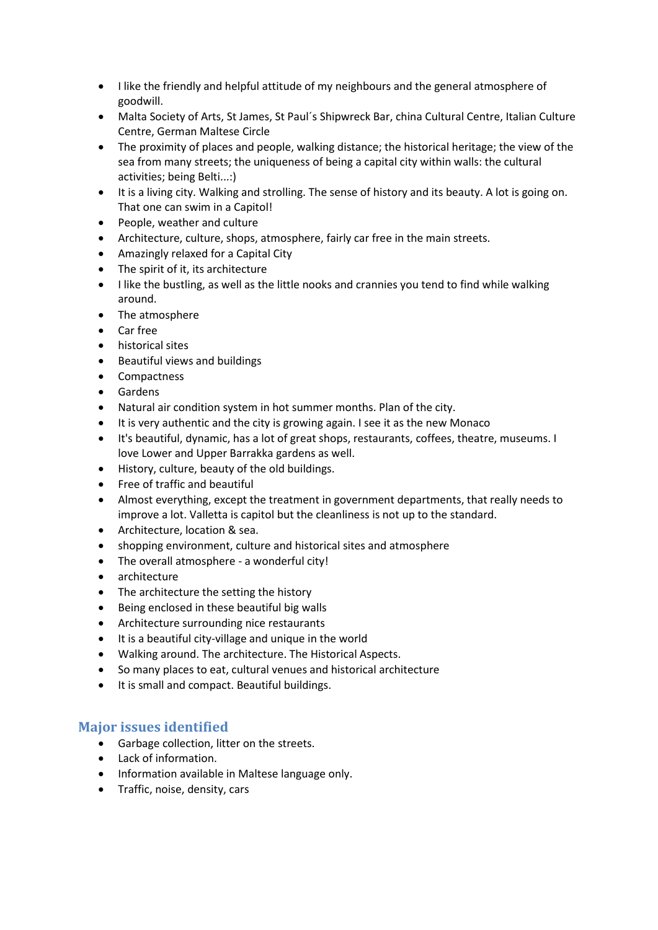- I like the friendly and helpful attitude of my neighbours and the general atmosphere of goodwill.
- Malta Society of Arts, St James, St Paul´s Shipwreck Bar, china Cultural Centre, Italian Culture Centre, German Maltese Circle
- The proximity of places and people, walking distance; the historical heritage; the view of the sea from many streets; the uniqueness of being a capital city within walls: the cultural activities; being Belti...:)
- It is a living city. Walking and strolling. The sense of history and its beauty. A lot is going on. That one can swim in a Capitol!
- People, weather and culture
- Architecture, culture, shops, atmosphere, fairly car free in the main streets.
- Amazingly relaxed for a Capital City
- The spirit of it, its architecture
- I like the bustling, as well as the little nooks and crannies you tend to find while walking around.
- The atmosphere
- Car free
- historical sites
- Beautiful views and buildings
- Compactness
- **•** Gardens
- Natural air condition system in hot summer months. Plan of the city.
- It is very authentic and the city is growing again. I see it as the new Monaco
- It's beautiful, dynamic, has a lot of great shops, restaurants, coffees, theatre, museums. I love Lower and Upper Barrakka gardens as well.
- History, culture, beauty of the old buildings.
- Free of traffic and beautiful
- Almost everything, except the treatment in government departments, that really needs to improve a lot. Valletta is capitol but the cleanliness is not up to the standard.
- Architecture, location & sea.
- shopping environment, culture and historical sites and atmosphere
- The overall atmosphere a wonderful city!
- architecture
- The architecture the setting the history
- Being enclosed in these beautiful big walls
- Architecture surrounding nice restaurants
- It is a beautiful city-village and unique in the world
- Walking around. The architecture. The Historical Aspects.
- So many places to eat, cultural venues and historical architecture
- It is small and compact. Beautiful buildings.

### **Major issues identified**

- Garbage collection, litter on the streets.
- Lack of information.
- Information available in Maltese language only.
- **•** Traffic, noise, density, cars